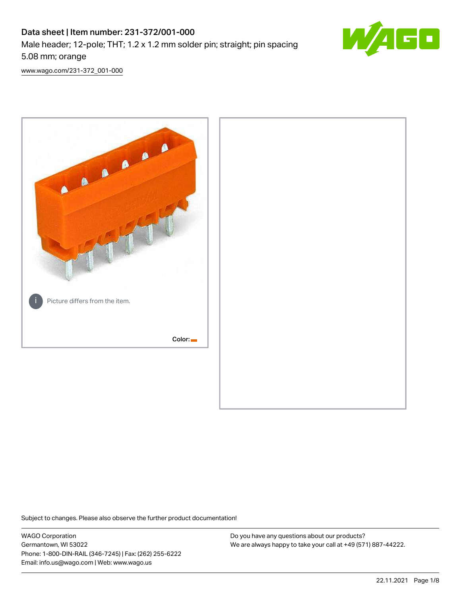# Data sheet | Item number: 231-372/001-000 Male header; 12-pole; THT; 1.2 x 1.2 mm solder pin; straight; pin spacing 5.08 mm; orange



[www.wago.com/231-372\\_001-000](http://www.wago.com/231-372_001-000)



Subject to changes. Please also observe the further product documentation!

WAGO Corporation Germantown, WI 53022 Phone: 1-800-DIN-RAIL (346-7245) | Fax: (262) 255-6222 Email: info.us@wago.com | Web: www.wago.us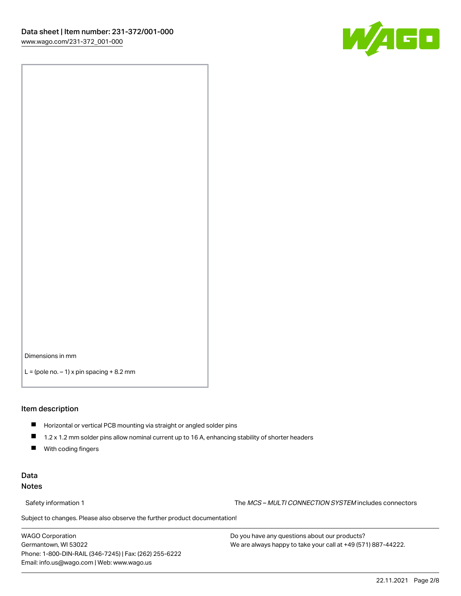

Dimensions in mm

 $L =$  (pole no.  $-1$ ) x pin spacing  $+8.2$  mm

#### Item description

- **Horizontal or vertical PCB mounting via straight or angled solder pins**
- 1.2 x 1.2 mm solder pins allow nominal current up to 16 A, enhancing stability of shorter headers
- $\blacksquare$ With coding fingers

## Data Notes

Safety information 1 The MCS – MULTI CONNECTION SYSTEM includes connectors

Subject to changes. Please also observe the further product documentation!  $\nu$ 

WAGO Corporation Germantown, WI 53022 Phone: 1-800-DIN-RAIL (346-7245) | Fax: (262) 255-6222 Email: info.us@wago.com | Web: www.wago.us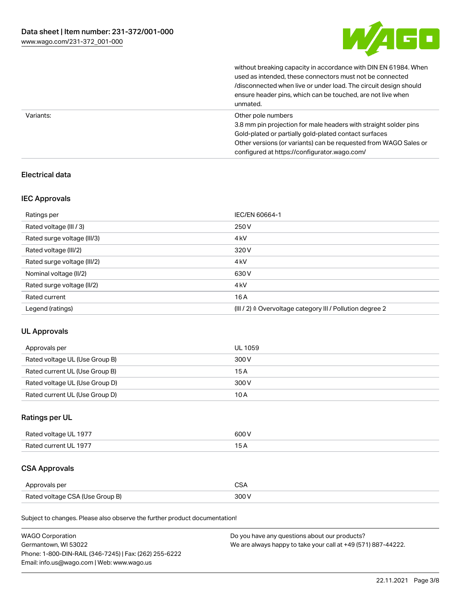

without breaking capacity in accordance with DIN EN 61984. When

|           | used as intended, these connectors must not be connected<br>/disconnected when live or under load. The circuit design should<br>ensure header pins, which can be touched, are not live when<br>unmated.                                                             |
|-----------|---------------------------------------------------------------------------------------------------------------------------------------------------------------------------------------------------------------------------------------------------------------------|
| Variants: | Other pole numbers<br>3.8 mm pin projection for male headers with straight solder pins<br>Gold-plated or partially gold-plated contact surfaces<br>Other versions (or variants) can be requested from WAGO Sales or<br>configured at https://configurator.wago.com/ |

## Electrical data

## IEC Approvals

| Ratings per                 | IEC/EN 60664-1                                            |
|-----------------------------|-----------------------------------------------------------|
| Rated voltage (III / 3)     | 250 V                                                     |
| Rated surge voltage (III/3) | 4 <sub>k</sub> V                                          |
| Rated voltage (III/2)       | 320 V                                                     |
| Rated surge voltage (III/2) | 4 <sub>k</sub> V                                          |
| Nominal voltage (II/2)      | 630 V                                                     |
| Rated surge voltage (II/2)  | 4 <sub>k</sub> V                                          |
| Rated current               | 16A                                                       |
| Legend (ratings)            | (III / 2) ≙ Overvoltage category III / Pollution degree 2 |

## UL Approvals

| Approvals per                  | UL 1059 |
|--------------------------------|---------|
| Rated voltage UL (Use Group B) | 300 V   |
| Rated current UL (Use Group B) | 15 A    |
| Rated voltage UL (Use Group D) | 300 V   |
| Rated current UL (Use Group D) | 10 A    |

# Ratings per UL

| Rated voltage UL 1977 | 600 V |
|-----------------------|-------|
| Rated current UL 1977 |       |

# CSA Approvals

| Approvals per                   | ~~    |
|---------------------------------|-------|
| Rated voltage CSA (Use Group B) | 3UU 1 |

Subject to changes. Please also observe the further product documentation!

| <b>WAGO Corporation</b>                                | Do you have any questions about our products?                 |
|--------------------------------------------------------|---------------------------------------------------------------|
| Germantown, WI 53022                                   | We are always happy to take your call at +49 (571) 887-44222. |
| Phone: 1-800-DIN-RAIL (346-7245)   Fax: (262) 255-6222 |                                                               |
| Email: info.us@wago.com   Web: www.wago.us             |                                                               |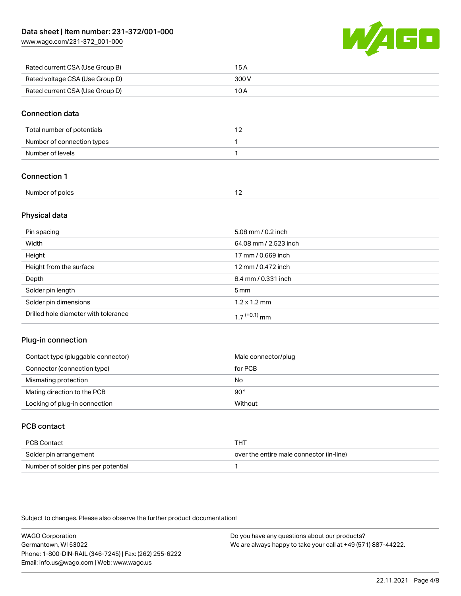[www.wago.com/231-372\\_001-000](http://www.wago.com/231-372_001-000)



| Rated current CSA (Use Group B) | 15 A  |
|---------------------------------|-------|
| Rated voltage CSA (Use Group D) | 300 V |
| Rated current CSA (Use Group D) | 10 A  |

#### Connection data

| Total number of potentials |  |
|----------------------------|--|
| Number of connection types |  |
| Number of levels           |  |

## Connection 1

| Number of poles |  |
|-----------------|--|
|                 |  |

## Physical data

| Pin spacing                          | 5.08 mm / 0.2 inch    |
|--------------------------------------|-----------------------|
| Width                                | 64.08 mm / 2.523 inch |
| Height                               | 17 mm / 0.669 inch    |
| Height from the surface              | 12 mm / 0.472 inch    |
| Depth                                | 8.4 mm / 0.331 inch   |
| Solder pin length                    | $5 \,\mathrm{mm}$     |
| Solder pin dimensions                | $1.2 \times 1.2$ mm   |
| Drilled hole diameter with tolerance | $17^{(+0.1)}$ mm      |

## Plug-in connection

| Contact type (pluggable connector) | Male connector/plug |
|------------------------------------|---------------------|
| Connector (connection type)        | for PCB             |
| Mismating protection               | No                  |
| Mating direction to the PCB        | 90°                 |
| Locking of plug-in connection      | Without             |

# PCB contact

| PCB Contact                         | THT                                      |
|-------------------------------------|------------------------------------------|
| Solder pin arrangement              | over the entire male connector (in-line) |
| Number of solder pins per potential |                                          |

Subject to changes. Please also observe the further product documentation!

WAGO Corporation Germantown, WI 53022 Phone: 1-800-DIN-RAIL (346-7245) | Fax: (262) 255-6222 Email: info.us@wago.com | Web: www.wago.us Do you have any questions about our products? We are always happy to take your call at +49 (571) 887-44222.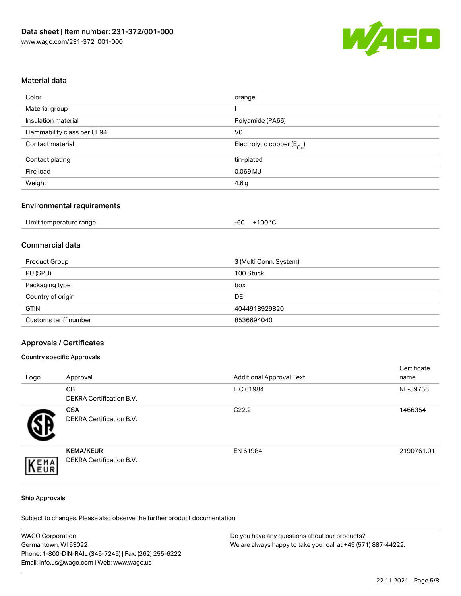

#### Material data

| orange                                 |
|----------------------------------------|
|                                        |
| Polyamide (PA66)                       |
| V <sub>0</sub>                         |
| Electrolytic copper (E <sub>Cu</sub> ) |
| tin-plated                             |
| $0.069$ MJ                             |
| 4.6g                                   |
|                                        |

## Environmental requirements

| Limit temperature range | . +100 °C<br>-60 |
|-------------------------|------------------|
|-------------------------|------------------|

### Commercial data

| Product Group         | 3 (Multi Conn. System) |
|-----------------------|------------------------|
| PU (SPU)              | 100 Stück              |
| Packaging type        | box                    |
| Country of origin     | DE                     |
| <b>GTIN</b>           | 4044918929820          |
| Customs tariff number | 8536694040             |

#### Approvals / Certificates

#### Country specific Approvals

| Logo | Approval                                            | <b>Additional Approval Text</b> | Certificate<br>name |
|------|-----------------------------------------------------|---------------------------------|---------------------|
|      | <b>CB</b><br>DEKRA Certification B.V.               | IEC 61984                       | NL-39756            |
|      | <b>CSA</b><br>DEKRA Certification B.V.              | C <sub>22.2</sub>               | 1466354             |
| EMA  | <b>KEMA/KEUR</b><br><b>DEKRA Certification B.V.</b> | EN 61984                        | 2190761.01          |

#### Ship Approvals

Subject to changes. Please also observe the further product documentation!

| <b>WAGO Corporation</b>                                | Do you have any questions about our products?                 |
|--------------------------------------------------------|---------------------------------------------------------------|
| Germantown, WI 53022                                   | We are always happy to take your call at +49 (571) 887-44222. |
| Phone: 1-800-DIN-RAIL (346-7245)   Fax: (262) 255-6222 |                                                               |
| Email: info.us@wago.com   Web: www.wago.us             |                                                               |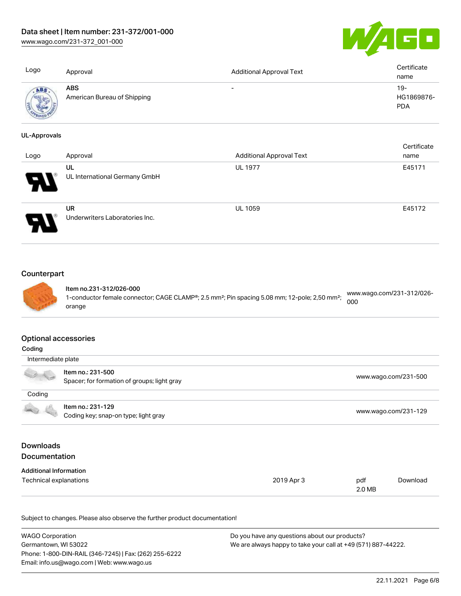# Data sheet | Item number: 231-372/001-000

[www.wago.com/231-372\\_001-000](http://www.wago.com/231-372_001-000)



| Logo                | Approval                                  | <b>Additional Approval Text</b> | Certificate<br>name               |
|---------------------|-------------------------------------------|---------------------------------|-----------------------------------|
| <b>ABS</b>          | <b>ABS</b><br>American Bureau of Shipping | $\overline{\phantom{0}}$        | $19-$<br>HG1869876-<br><b>PDA</b> |
| <b>UL-Approvals</b> |                                           |                                 |                                   |

| Logo | Approval                                    | <b>Additional Approval Text</b> | Certificate<br>name |
|------|---------------------------------------------|---------------------------------|---------------------|
| Ъ.   | UL<br>UL International Germany GmbH         | <b>UL 1977</b>                  | E45171              |
|      | <b>UR</b><br>Underwriters Laboratories Inc. | UL 1059                         | E45172              |

# **Counterpart**



Item no.231-312/026-000 1-conductor female connector; CAGE CLAMP®; 2.5 mm²; Pin spacing 5.08 mm; 12-pole; 2,50 mm²; orange [www.wago.com/231-312/026-](https://www.wago.com/231-312/026-000) [000](https://www.wago.com/231-312/026-000)

#### Optional accessories

| Coding                                                    |                                                                  |            |                      |                      |
|-----------------------------------------------------------|------------------------------------------------------------------|------------|----------------------|----------------------|
|                                                           | Intermediate plate                                               |            |                      |                      |
|                                                           | Item no.: 231-500<br>Spacer; for formation of groups; light gray |            |                      | www.wago.com/231-500 |
| Coding                                                    |                                                                  |            |                      |                      |
| Item no.: 231-129<br>Coding key; snap-on type; light gray |                                                                  |            | www.wago.com/231-129 |                      |
| <b>Downloads</b><br><b>Documentation</b>                  |                                                                  |            |                      |                      |
| <b>Additional Information</b>                             |                                                                  |            |                      |                      |
| Technical explanations                                    |                                                                  | 2019 Apr 3 | pdf<br>2.0 MB        | Download             |

Subject to changes. Please also observe the further product documentation!

| <b>WAGO Corporation</b>                                | Do you have any questions about our products?                 |
|--------------------------------------------------------|---------------------------------------------------------------|
| Germantown. WI 53022                                   | We are always happy to take your call at +49 (571) 887-44222. |
| Phone: 1-800-DIN-RAIL (346-7245)   Fax: (262) 255-6222 |                                                               |
| Email: info.us@wago.com   Web: www.wago.us             |                                                               |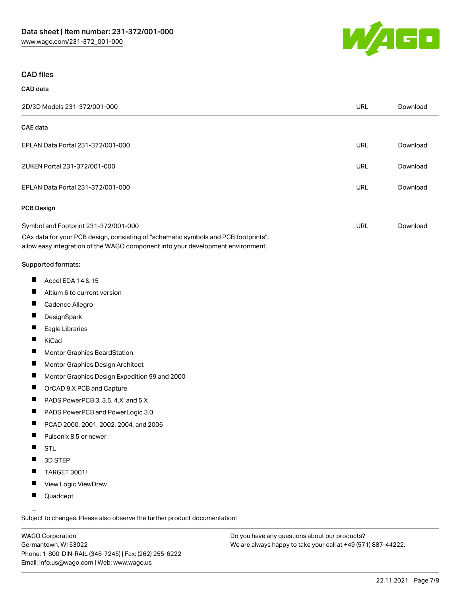

#### CAD files

# CAD data 2D/3D Models 231-372/001-000 URL [Download](https://www.wago.com/global/d/3D_URLS_231-372_001-000) CAE data EPLAN Data Portal 231-372/001-000 URL [Download](https://www.wago.com/global/d/EPLAN_URLS_231-372%252F001-000) ZUKEN Portal 231-372/001-000 URL [Download](https://www.wago.com/global/d/Zuken_URLS_231-372_001-000) EPLAN Data Portal 231-372/001-000 URL [Download](https://www.wago.com/global/d/EPLAN_URLS_231-372_001-000) PCB Design Symbol and Footprint 231-372/001-000 CAx data for your PCB design, consisting of "schematic symbols and PCB footprints", allow easy integration of the WAGO component into your development environment. URL [Download](https://www.wago.com/global/d/UltraLibrarian_URLS_231-372_001-000)

#### Supported formats:

- $\blacksquare$ Accel EDA 14 & 15
- П Altium 6 to current version
- П Cadence Allegro
- П **DesignSpark**
- П Eagle Libraries
- $\blacksquare$ KiCad
- П Mentor Graphics BoardStation
- $\blacksquare$ Mentor Graphics Design Architect
- П Mentor Graphics Design Expedition 99 and 2000
- П OrCAD 9.X PCB and Capture
- $\blacksquare$ PADS PowerPCB 3, 3.5, 4.X, and 5.X
- $\blacksquare$ PADS PowerPCB and PowerLogic 3.0
- $\blacksquare$ PCAD 2000, 2001, 2002, 2004, and 2006
- $\blacksquare$ Pulsonix 8.5 or newer
- $\blacksquare$ STL
- $\blacksquare$ 3D STEP
- $\blacksquare$ TARGET 3001!
- $\blacksquare$ View Logic ViewDraw
- $\blacksquare$ Quadcept

.<br>Subject to changes. Please also observe the further product documentation!

WAGO Corporation Germantown, WI 53022 Phone: 1-800-DIN-RAIL (346-7245) | Fax: (262) 255-6222 Email: info.us@wago.com | Web: www.wago.us